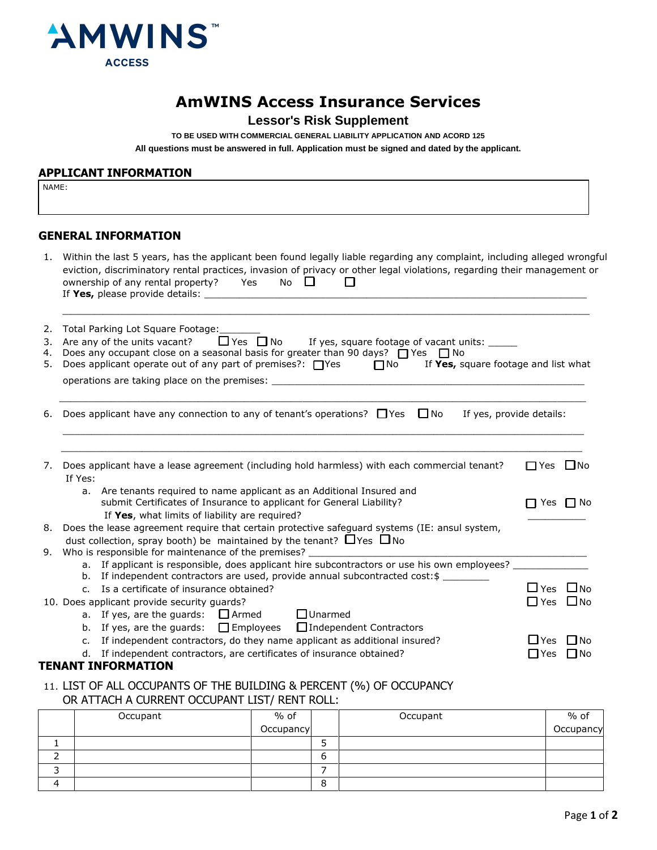

# **AmWINS Access Insurance Services**

# **Lessor's Risk Supplement**

TO BE USED WITH COMMERCIAL GENERAL LIABILITY APPLICATION AND ACORD 125 All questions must be answered in full. Application must be signed and dated by the applicant.

#### **APPLICANT INFORMATION**

NAME:

#### **GENERAL INFORMATION**

|                      | 1. Within the last 5 years, has the applicant been found legally liable regarding any complaint, including alleged wrongful<br>eviction, discriminatory rental practices, invasion of privacy or other legal violations, regarding their management or<br>No $\Box$<br>ownership of any rental property? Yes<br>П                                             |                                                 |  |  |  |  |
|----------------------|---------------------------------------------------------------------------------------------------------------------------------------------------------------------------------------------------------------------------------------------------------------------------------------------------------------------------------------------------------------|-------------------------------------------------|--|--|--|--|
| 2.<br>3.<br>4.<br>5. | Total Parking Lot Square Footage:<br>$\Box$ Yes $\Box$ No<br>If yes, square footage of vacant units: _____<br>Are any of the units vacant?<br>Does any occupant close on a seasonal basis for greater than 90 days? $\Box$ Yes $\Box$ No<br>Does applicant operate out of any part of premises?: $\Box$ Yes $\Box$ No<br>If Yes, square footage and list what |                                                 |  |  |  |  |
|                      |                                                                                                                                                                                                                                                                                                                                                               |                                                 |  |  |  |  |
| 6.                   | Does applicant have any connection to any of tenant's operations? $\Box$ Yes $\Box$ No<br>If yes, provide details:                                                                                                                                                                                                                                            |                                                 |  |  |  |  |
| 7.                   | Does applicant have a lease agreement (including hold harmless) with each commercial tenant?<br>If Yes:                                                                                                                                                                                                                                                       | $\Box$ Yes $\Box$ No                            |  |  |  |  |
|                      | Are tenants required to name applicant as an Additional Insured and<br>a.<br>submit Certificates of Insurance to applicant for General Liability?<br>If Yes, what limits of liability are required?                                                                                                                                                           | $\Box$ Yes $\Box$ No                            |  |  |  |  |
|                      | 8. Does the lease agreement require that certain protective safeguard systems (IE: ansul system,                                                                                                                                                                                                                                                              |                                                 |  |  |  |  |
|                      | dust collection, spray booth) be maintained by the tenant? $\Box$ Yes $\Box$ No<br>9. Who is responsible for maintenance of the premises?                                                                                                                                                                                                                     |                                                 |  |  |  |  |
|                      | a. If applicant is responsible, does applicant hire subcontractors or use his own employees?                                                                                                                                                                                                                                                                  |                                                 |  |  |  |  |
|                      | b. If independent contractors are used, provide annual subcontracted cost: \$                                                                                                                                                                                                                                                                                 |                                                 |  |  |  |  |
|                      | Is a certificate of insurance obtained?<br>C <sub>1</sub>                                                                                                                                                                                                                                                                                                     | $\Box$ Yes<br>$\Box$ No<br>$\Box$ Yes $\Box$ No |  |  |  |  |
|                      | 10. Does applicant provide security guards?<br>a. If yes, are the guards: $\Box$ Armed<br>$\Box$ Unarmed                                                                                                                                                                                                                                                      |                                                 |  |  |  |  |
|                      | If yes, are the quards: $\Box$ Employees<br>$\Box$ Independent Contractors<br>b.                                                                                                                                                                                                                                                                              |                                                 |  |  |  |  |
|                      | If independent contractors, do they name applicant as additional insured?<br>$C_{1}$                                                                                                                                                                                                                                                                          | ∐ Yes<br>– I No                                 |  |  |  |  |
|                      | If independent contractors, are certificates of insurance obtained?<br>d.                                                                                                                                                                                                                                                                                     | I No<br><b>TYes</b>                             |  |  |  |  |
|                      | <b>TENANT INFORMATION</b>                                                                                                                                                                                                                                                                                                                                     |                                                 |  |  |  |  |

### 11. LIST OF ALL OCCUPANTS OF THE BUILDING & PERCENT (%) OF OCCUPANCY OR ATTACH A CURRENT OCCUPANT LIST/ RENT ROLL:

|   | Occupant | $%$ of    |   | Occupant | $%$ of    |
|---|----------|-----------|---|----------|-----------|
|   |          | Occupancy |   |          | Occupancy |
|   |          |           |   |          |           |
| ∸ |          |           | O |          |           |
|   |          |           |   |          |           |
| 4 |          |           | o |          |           |